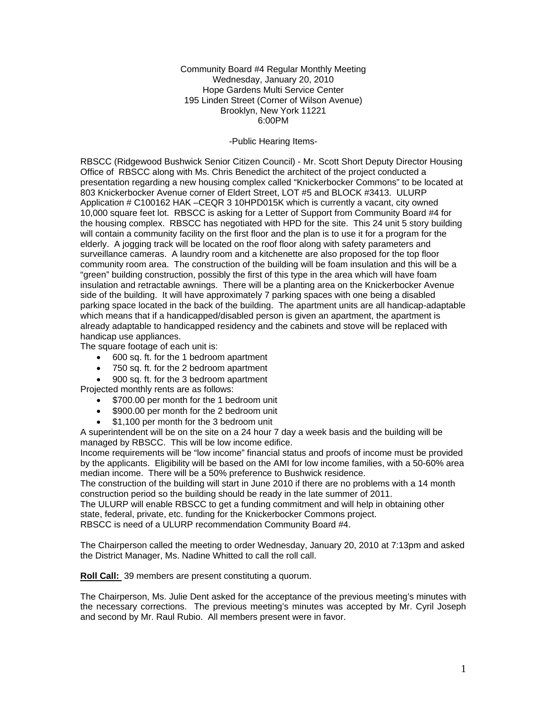Community Board #4 Regular Monthly Meeting Wednesday, January 20, 2010 Hope Gardens Multi Service Center 195 Linden Street (Corner of Wilson Avenue) Brooklyn, New York 11221 6:00PM

#### -Public Hearing Items-

RBSCC (Ridgewood Bushwick Senior Citizen Council) - Mr. Scott Short Deputy Director Housing Office of RBSCC along with Ms. Chris Benedict the architect of the project conducted a presentation regarding a new housing complex called "Knickerbocker Commons" to be located at 803 Knickerbocker Avenue corner of Eldert Street, LOT #5 and BLOCK #3413. ULURP Application # C100162 HAK –CEQR 3 10HPD015K which is currently a vacant, city owned 10,000 square feet lot. RBSCC is asking for a Letter of Support from Community Board #4 for the housing complex. RBSCC has negotiated with HPD for the site. This 24 unit 5 story building will contain a community facility on the first floor and the plan is to use it for a program for the elderly. A jogging track will be located on the roof floor along with safety parameters and surveillance cameras. A laundry room and a kitchenette are also proposed for the top floor community room area. The construction of the building will be foam insulation and this will be a "green" building construction, possibly the first of this type in the area which will have foam insulation and retractable awnings. There will be a planting area on the Knickerbocker Avenue side of the building. It will have approximately 7 parking spaces with one being a disabled parking space located in the back of the building. The apartment units are all handicap-adaptable which means that if a handicapped/disabled person is given an apartment, the apartment is already adaptable to handicapped residency and the cabinets and stove will be replaced with handicap use appliances.

The square footage of each unit is:

- 600 sq. ft. for the 1 bedroom apartment
- 750 sq. ft. for the 2 bedroom apartment
- 900 sq. ft. for the 3 bedroom apartment

Projected monthly rents are as follows:

- \$700.00 per month for the 1 bedroom unit
- \$900.00 per month for the 2 bedroom unit
- \$1,100 per month for the 3 bedroom unit

A superintendent will be on the site on a 24 hour 7 day a week basis and the building will be managed by RBSCC. This will be low income edifice.

Income requirements will be "low income" financial status and proofs of income must be provided by the applicants. Eligibility will be based on the AMI for low income families, with a 50-60% area median income. There will be a 50% preference to Bushwick residence.

The construction of the building will start in June 2010 if there are no problems with a 14 month construction period so the building should be ready in the late summer of 2011.

The ULURP will enable RBSCC to get a funding commitment and will help in obtaining other state, federal, private, etc. funding for the Knickerbocker Commons project. RBSCC is need of a ULURP recommendation Community Board #4.

The Chairperson called the meeting to order Wednesday, January 20, 2010 at 7:13pm and asked the District Manager, Ms. Nadine Whitted to call the roll call.

**Roll Call:** 39 members are present constituting a quorum.

The Chairperson, Ms. Julie Dent asked for the acceptance of the previous meeting's minutes with the necessary corrections. The previous meeting's minutes was accepted by Mr. Cyril Joseph and second by Mr. Raul Rubio. All members present were in favor.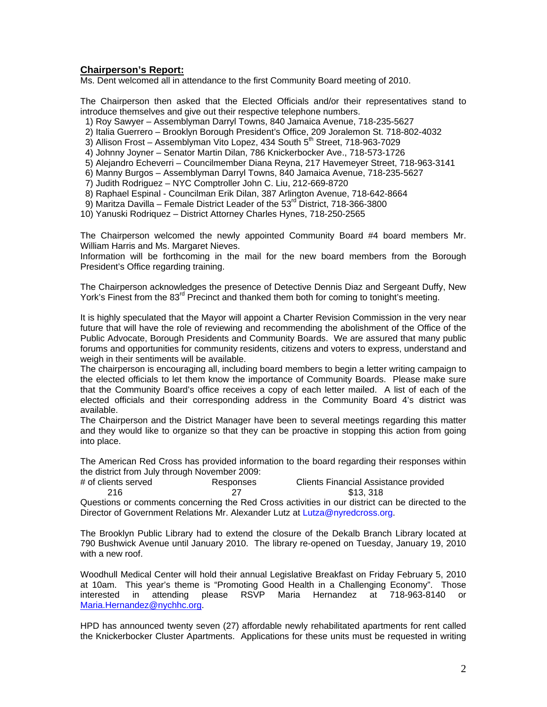# **Chairperson's Report:**

Ms. Dent welcomed all in attendance to the first Community Board meeting of 2010.

The Chairperson then asked that the Elected Officials and/or their representatives stand to introduce themselves and give out their respective telephone numbers.

1) Roy Sawyer – Assemblyman Darryl Towns, 840 Jamaica Avenue, 718-235-5627

2) Italia Guerrero – Brooklyn Borough President's Office, 209 Joralemon St. 718-802-4032

3) Allison Frost - Assemblyman Vito Lopez, 434 South 5<sup>th</sup> Street, 718-963-7029

4) Johnny Joyner – Senator Martin Dilan, 786 Knickerbocker Ave., 718-573-1726

5) Alejandro Echeverri – Councilmember Diana Reyna, 217 Havemeyer Street, 718-963-3141

6) Manny Burgos – Assemblyman Darryl Towns, 840 Jamaica Avenue, 718-235-5627

7) Judith Rodriguez – NYC Comptroller John C. Liu, 212-669-8720

8) Raphael Espinal - Councilman Erik Dilan, 387 Arlington Avenue, 718-642-8664

9) Maritza Davilla – Female District Leader of the  $53<sup>rd</sup>$  District, 718-366-3800

10) Yanuski Rodriquez – District Attorney Charles Hynes, 718-250-2565

The Chairperson welcomed the newly appointed Community Board #4 board members Mr. William Harris and Ms. Margaret Nieves.

Information will be forthcoming in the mail for the new board members from the Borough President's Office regarding training.

The Chairperson acknowledges the presence of Detective Dennis Diaz and Sergeant Duffy, New York's Finest from the 83<sup>rd</sup> Precinct and thanked them both for coming to tonight's meeting.

It is highly speculated that the Mayor will appoint a Charter Revision Commission in the very near future that will have the role of reviewing and recommending the abolishment of the Office of the Public Advocate, Borough Presidents and Community Boards. We are assured that many public forums and opportunities for community residents, citizens and voters to express, understand and weigh in their sentiments will be available.

The chairperson is encouraging all, including board members to begin a letter writing campaign to the elected officials to let them know the importance of Community Boards. Please make sure that the Community Board's office receives a copy of each letter mailed. A list of each of the elected officials and their corresponding address in the Community Board 4's district was available.

The Chairperson and the District Manager have been to several meetings regarding this matter and they would like to organize so that they can be proactive in stopping this action from going into place.

The American Red Cross has provided information to the board regarding their responses within the district from July through November 2009:

| # of clients served | Responses | Clients Financial Assistance provided |
|---------------------|-----------|---------------------------------------|
| 216                 |           | \$13, 318                             |

Questions or comments concerning the Red Cross activities in our district can be directed to the Director of Government Relations Mr. Alexander Lutz at Lutza@nyredcross.org.

The Brooklyn Public Library had to extend the closure of the Dekalb Branch Library located at 790 Bushwick Avenue until January 2010. The library re-opened on Tuesday, January 19, 2010 with a new roof.

Woodhull Medical Center will hold their annual Legislative Breakfast on Friday February 5, 2010 at 10am. This year's theme is "Promoting Good Health in a Challenging Economy". Those interested in attending please  $RSVP$  Maria Hernandez at 718-963-8140 Maria.Hernandez@nychhc.org.

HPD has announced twenty seven (27) affordable newly rehabilitated apartments for rent called the Knickerbocker Cluster Apartments. Applications for these units must be requested in writing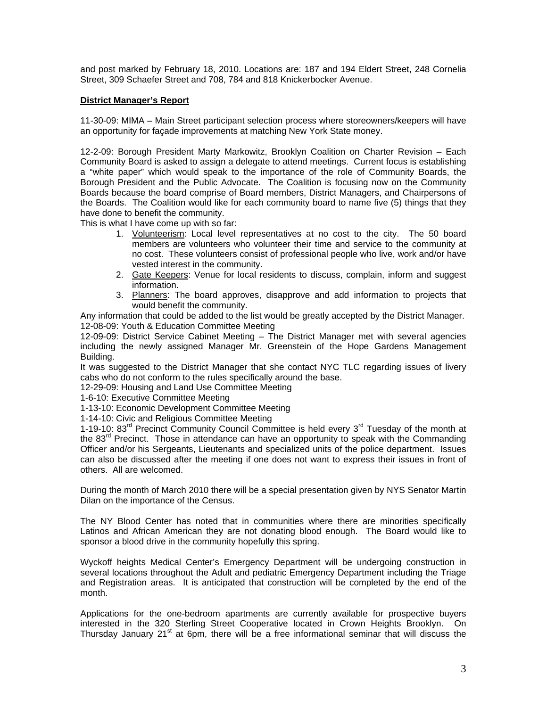and post marked by February 18, 2010. Locations are: 187 and 194 Eldert Street, 248 Cornelia Street, 309 Schaefer Street and 708, 784 and 818 Knickerbocker Avenue.

### **District Manager's Report**

11-30-09: MIMA – Main Street participant selection process where storeowners/keepers will have an opportunity for façade improvements at matching New York State money.

12-2-09: Borough President Marty Markowitz, Brooklyn Coalition on Charter Revision – Each Community Board is asked to assign a delegate to attend meetings. Current focus is establishing a "white paper" which would speak to the importance of the role of Community Boards, the Borough President and the Public Advocate. The Coalition is focusing now on the Community Boards because the board comprise of Board members, District Managers, and Chairpersons of the Boards. The Coalition would like for each community board to name five (5) things that they have done to benefit the community.

This is what I have come up with so far:

- 1. Volunteerism: Local level representatives at no cost to the city. The 50 board members are volunteers who volunteer their time and service to the community at no cost. These volunteers consist of professional people who live, work and/or have vested interest in the community.
- 2. Gate Keepers: Venue for local residents to discuss, complain, inform and suggest information.
- 3. Planners: The board approves, disapprove and add information to projects that would benefit the community.

Any information that could be added to the list would be greatly accepted by the District Manager. 12-08-09: Youth & Education Committee Meeting

12-09-09: District Service Cabinet Meeting – The District Manager met with several agencies including the newly assigned Manager Mr. Greenstein of the Hope Gardens Management Building.

It was suggested to the District Manager that she contact NYC TLC regarding issues of livery cabs who do not conform to the rules specifically around the base.

12-29-09: Housing and Land Use Committee Meeting

1-6-10: Executive Committee Meeting

1-13-10: Economic Development Committee Meeting

1-14-10: Civic and Religious Committee Meeting

1-19-10:  $83<sup>rd</sup>$  Precinct Community Council Committee is held every  $3<sup>rd</sup>$  Tuesday of the month at the 83<sup>rd</sup> Precinct. Those in attendance can have an opportunity to speak with the Commanding Officer and/or his Sergeants, Lieutenants and specialized units of the police department. Issues can also be discussed after the meeting if one does not want to express their issues in front of others. All are welcomed.

During the month of March 2010 there will be a special presentation given by NYS Senator Martin Dilan on the importance of the Census.

The NY Blood Center has noted that in communities where there are minorities specifically Latinos and African American they are not donating blood enough. The Board would like to sponsor a blood drive in the community hopefully this spring.

Wyckoff heights Medical Center's Emergency Department will be undergoing construction in several locations throughout the Adult and pediatric Emergency Department including the Triage and Registration areas. It is anticipated that construction will be completed by the end of the month.

Applications for the one-bedroom apartments are currently available for prospective buyers interested in the 320 Sterling Street Cooperative located in Crown Heights Brooklyn. On Thursday January  $21<sup>st</sup>$  at 6pm, there will be a free informational seminar that will discuss the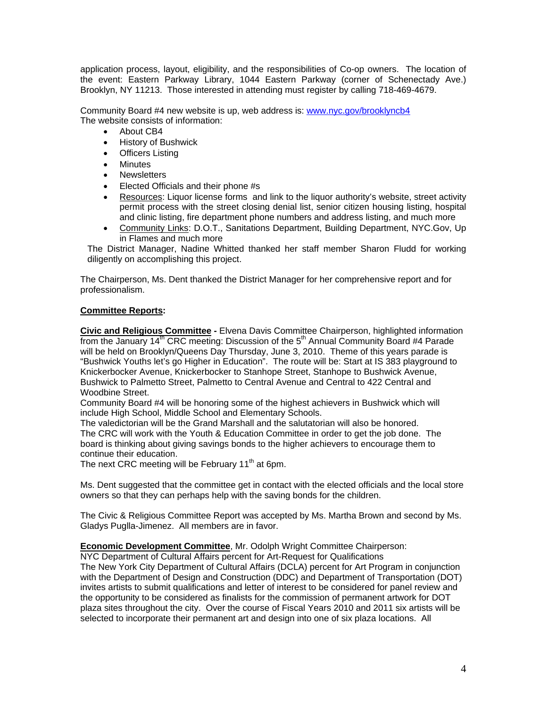application process, layout, eligibility, and the responsibilities of Co-op owners. The location of the event: Eastern Parkway Library, 1044 Eastern Parkway (corner of Schenectady Ave.) Brooklyn, NY 11213. Those interested in attending must register by calling 718-469-4679.

Community Board #4 new website is up, web address is: www.nyc.gov/brooklyncb4 The website consists of information:

- About CB4
- History of Bushwick
- **Officers Listing**
- **Minutes**
- **Newsletters**
- Elected Officials and their phone #s
- Resources: Liquor license forms and link to the liquor authority's website, street activity permit process with the street closing denial list, senior citizen housing listing, hospital and clinic listing, fire department phone numbers and address listing, and much more
- Community Links: D.O.T., Sanitations Department, Building Department, NYC.Gov, Up in Flames and much more

The District Manager, Nadine Whitted thanked her staff member Sharon Fludd for working diligently on accomplishing this project.

The Chairperson, Ms. Dent thanked the District Manager for her comprehensive report and for professionalism.

## **Committee Reports:**

**Civic and Religious Committee -** Elvena Davis Committee Chairperson, highlighted information from the January 14<sup>th</sup> CRC meeting: Discussion of the  $5<sup>th</sup>$  Annual Community Board #4 Parade will be held on Brooklyn/Queens Day Thursday, June 3, 2010. Theme of this years parade is "Bushwick Youths let's go Higher in Education". The route will be: Start at IS 383 playground to Knickerbocker Avenue, Knickerbocker to Stanhope Street, Stanhope to Bushwick Avenue, Bushwick to Palmetto Street, Palmetto to Central Avenue and Central to 422 Central and Woodbine Street.

Community Board #4 will be honoring some of the highest achievers in Bushwick which will include High School, Middle School and Elementary Schools.

The valedictorian will be the Grand Marshall and the salutatorian will also be honored. The CRC will work with the Youth & Education Committee in order to get the job done. The board is thinking about giving savings bonds to the higher achievers to encourage them to continue their education.

The next CRC meeting will be February  $11<sup>th</sup>$  at 6pm.

Ms. Dent suggested that the committee get in contact with the elected officials and the local store owners so that they can perhaps help with the saving bonds for the children.

The Civic & Religious Committee Report was accepted by Ms. Martha Brown and second by Ms. Gladys Puglla-Jimenez. All members are in favor.

**Economic Development Committee**, Mr. Odolph Wright Committee Chairperson:

NYC Department of Cultural Affairs percent for Art-Request for Qualifications

The New York City Department of Cultural Affairs (DCLA) percent for Art Program in conjunction with the Department of Design and Construction (DDC) and Department of Transportation (DOT) invites artists to submit qualifications and letter of interest to be considered for panel review and the opportunity to be considered as finalists for the commission of permanent artwork for DOT plaza sites throughout the city. Over the course of Fiscal Years 2010 and 2011 six artists will be selected to incorporate their permanent art and design into one of six plaza locations. All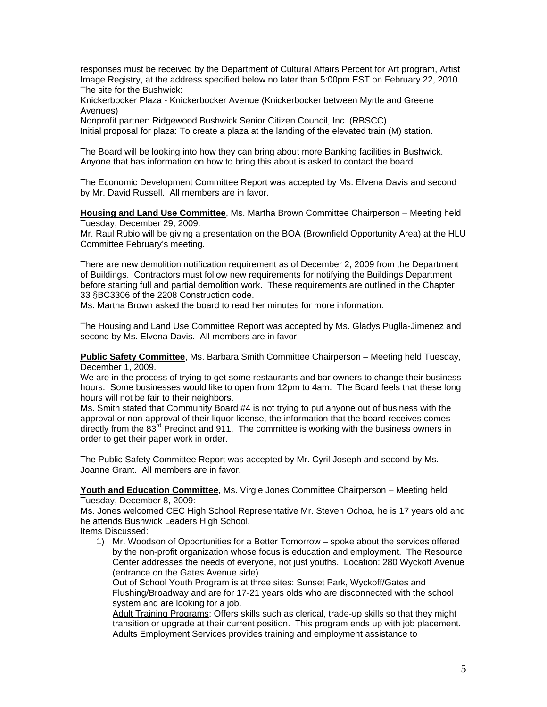responses must be received by the Department of Cultural Affairs Percent for Art program, Artist Image Registry, at the address specified below no later than 5:00pm EST on February 22, 2010. The site for the Bushwick:

Knickerbocker Plaza - Knickerbocker Avenue (Knickerbocker between Myrtle and Greene Avenues)

Nonprofit partner: Ridgewood Bushwick Senior Citizen Council, Inc. (RBSCC) Initial proposal for plaza: To create a plaza at the landing of the elevated train (M) station.

The Board will be looking into how they can bring about more Banking facilities in Bushwick. Anyone that has information on how to bring this about is asked to contact the board.

The Economic Development Committee Report was accepted by Ms. Elvena Davis and second by Mr. David Russell. All members are in favor.

**Housing and Land Use Committee**, Ms. Martha Brown Committee Chairperson – Meeting held Tuesday, December 29, 2009:

Mr. Raul Rubio will be giving a presentation on the BOA (Brownfield Opportunity Area) at the HLU Committee February's meeting.

There are new demolition notification requirement as of December 2, 2009 from the Department of Buildings. Contractors must follow new requirements for notifying the Buildings Department before starting full and partial demolition work. These requirements are outlined in the Chapter 33 §BC3306 of the 2208 Construction code.

Ms. Martha Brown asked the board to read her minutes for more information.

The Housing and Land Use Committee Report was accepted by Ms. Gladys Puglla-Jimenez and second by Ms. Elvena Davis. All members are in favor.

**Public Safety Committee**, Ms. Barbara Smith Committee Chairperson – Meeting held Tuesday, December 1, 2009.

We are in the process of trying to get some restaurants and bar owners to change their business hours. Some businesses would like to open from 12pm to 4am. The Board feels that these long hours will not be fair to their neighbors.

Ms. Smith stated that Community Board #4 is not trying to put anyone out of business with the approval or non-approval of their liquor license, the information that the board receives comes directly from the 83<sup>rd</sup> Precinct and 911. The committee is working with the business owners in order to get their paper work in order.

The Public Safety Committee Report was accepted by Mr. Cyril Joseph and second by Ms. Joanne Grant. All members are in favor.

**Youth and Education Committee,** Ms. Virgie Jones Committee Chairperson – Meeting held Tuesday, December 8, 2009:

Ms. Jones welcomed CEC High School Representative Mr. Steven Ochoa, he is 17 years old and he attends Bushwick Leaders High School.

Items Discussed:

1) Mr. Woodson of Opportunities for a Better Tomorrow – spoke about the services offered by the non-profit organization whose focus is education and employment. The Resource Center addresses the needs of everyone, not just youths. Location: 280 Wyckoff Avenue (entrance on the Gates Avenue side)

Out of School Youth Program is at three sites: Sunset Park, Wyckoff/Gates and Flushing/Broadway and are for 17-21 years olds who are disconnected with the school system and are looking for a job.

Adult Training Programs: Offers skills such as clerical, trade-up skills so that they might transition or upgrade at their current position. This program ends up with job placement. Adults Employment Services provides training and employment assistance to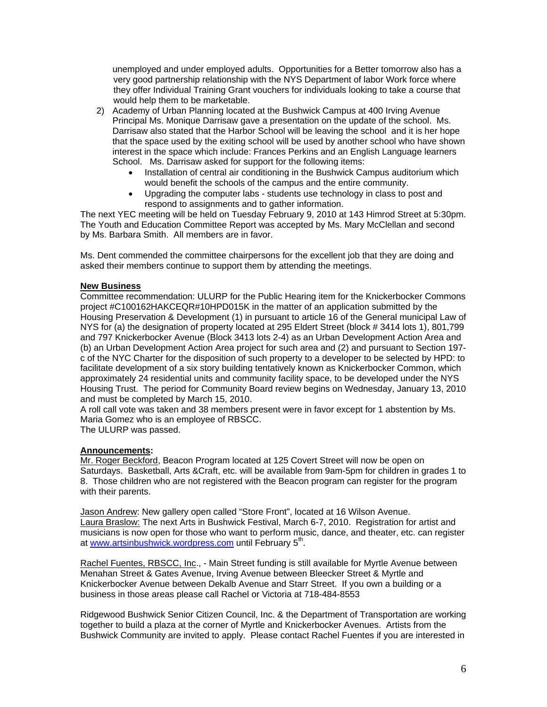unemployed and under employed adults. Opportunities for a Better tomorrow also has a very good partnership relationship with the NYS Department of labor Work force where they offer Individual Training Grant vouchers for individuals looking to take a course that would help them to be marketable.

- 2) Academy of Urban Planning located at the Bushwick Campus at 400 Irving Avenue Principal Ms. Monique Darrisaw gave a presentation on the update of the school. Ms. Darrisaw also stated that the Harbor School will be leaving the school and it is her hope that the space used by the exiting school will be used by another school who have shown interest in the space which include: Frances Perkins and an English Language learners School. Ms. Darrisaw asked for support for the following items:
	- Installation of central air conditioning in the Bushwick Campus auditorium which would benefit the schools of the campus and the entire community.
	- Upgrading the computer labs students use technology in class to post and respond to assignments and to gather information.

The next YEC meeting will be held on Tuesday February 9, 2010 at 143 Himrod Street at 5:30pm. The Youth and Education Committee Report was accepted by Ms. Mary McClellan and second by Ms. Barbara Smith. All members are in favor.

Ms. Dent commended the committee chairpersons for the excellent job that they are doing and asked their members continue to support them by attending the meetings.

#### **New Business**

Committee recommendation: ULURP for the Public Hearing item for the Knickerbocker Commons project #C100162HAKCEQR#10HPD015K in the matter of an application submitted by the Housing Preservation & Development (1) in pursuant to article 16 of the General municipal Law of NYS for (a) the designation of property located at 295 Eldert Street (block #3414 lots 1), 801,799 and 797 Knickerbocker Avenue (Block 3413 lots 2-4) as an Urban Development Action Area and (b) an Urban Development Action Area project for such area and (2) and pursuant to Section 197 c of the NYC Charter for the disposition of such property to a developer to be selected by HPD: to facilitate development of a six story building tentatively known as Knickerbocker Common, which approximately 24 residential units and community facility space, to be developed under the NYS Housing Trust. The period for Community Board review begins on Wednesday, January 13, 2010 and must be completed by March 15, 2010.

A roll call vote was taken and 38 members present were in favor except for 1 abstention by Ms. Maria Gomez who is an employee of RBSCC.

The ULURP was passed.

### **Announcements:**

Mr. Roger Beckford, Beacon Program located at 125 Covert Street will now be open on Saturdays. Basketball, Arts &Craft, etc. will be available from 9am-5pm for children in grades 1 to 8. Those children who are not registered with the Beacon program can register for the program with their parents.

Jason Andrew: New gallery open called "Store Front", located at 16 Wilson Avenue. Laura Braslow: The next Arts in Bushwick Festival, March 6-7, 2010. Registration for artist and musicians is now open for those who want to perform music, dance, and theater, etc. can register at www.artsinbushwick.wordpress.com until February 5<sup>th</sup>.

Rachel Fuentes, RBSCC, Inc., - Main Street funding is still available for Myrtle Avenue between Menahan Street & Gates Avenue, Irving Avenue between Bleecker Street & Myrtle and Knickerbocker Avenue between Dekalb Avenue and Starr Street. If you own a building or a business in those areas please call Rachel or Victoria at 718-484-8553

Ridgewood Bushwick Senior Citizen Council, Inc. & the Department of Transportation are working together to build a plaza at the corner of Myrtle and Knickerbocker Avenues. Artists from the Bushwick Community are invited to apply. Please contact Rachel Fuentes if you are interested in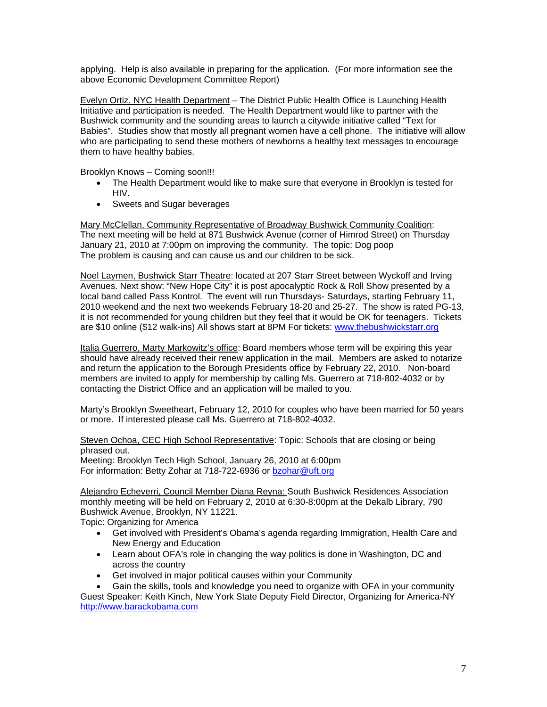applying. Help is also available in preparing for the application. (For more information see the above Economic Development Committee Report)

Evelyn Ortiz, NYC Health Department – The District Public Health Office is Launching Health Initiative and participation is needed. The Health Department would like to partner with the Bushwick community and the sounding areas to launch a citywide initiative called "Text for Babies". Studies show that mostly all pregnant women have a cell phone. The initiative will allow who are participating to send these mothers of newborns a healthy text messages to encourage them to have healthy babies.

Brooklyn Knows – Coming soon!!!

- The Health Department would like to make sure that everyone in Brooklyn is tested for HIV.
- Sweets and Sugar beverages

Mary McClellan, Community Representative of Broadway Bushwick Community Coalition: The next meeting will be held at 871 Bushwick Avenue (corner of Himrod Street) on Thursday January 21, 2010 at 7:00pm on improving the community. The topic: Dog poop The problem is causing and can cause us and our children to be sick.

Noel Laymen, Bushwick Starr Theatre: located at 207 Starr Street between Wyckoff and Irving Avenues. Next show: "New Hope City" it is post apocalyptic Rock & Roll Show presented by a local band called Pass Kontrol. The event will run Thursdays- Saturdays, starting February 11, 2010 weekend and the next two weekends February 18-20 and 25-27. The show is rated PG-13, it is not recommended for young children but they feel that it would be OK for teenagers. Tickets are \$10 online (\$12 walk-ins) All shows start at 8PM For tickets: www.thebushwickstarr.org

Italia Guerrero, Marty Markowitz's office: Board members whose term will be expiring this year should have already received their renew application in the mail. Members are asked to notarize and return the application to the Borough Presidents office by February 22, 2010. Non-board members are invited to apply for membership by calling Ms. Guerrero at 718-802-4032 or by contacting the District Office and an application will be mailed to you.

Marty's Brooklyn Sweetheart, February 12, 2010 for couples who have been married for 50 years or more. If interested please call Ms. Guerrero at 718-802-4032.

Steven Ochoa, CEC High School Representative: Topic: Schools that are closing or being phrased out.

Meeting: Brooklyn Tech High School, January 26, 2010 at 6:00pm For information: Betty Zohar at 718-722-6936 or bzohar@uft.org

Alejandro Echeverri, Council Member Diana Reyna: South Bushwick Residences Association monthly meeting will be held on February 2, 2010 at 6:30-8:00pm at the Dekalb Library, 790 Bushwick Avenue, Brooklyn, NY 11221.

Topic: Organizing for America

- Get involved with President's Obama's agenda regarding Immigration, Health Care and New Energy and Education
- Learn about OFA's role in changing the way politics is done in Washington, DC and across the country
- Get involved in major political causes within your Community
- Gain the skills, tools and knowledge you need to organize with OFA in your community

Guest Speaker: Keith Kinch, New York State Deputy Field Director, Organizing for America-NY http://www.barackobama.com